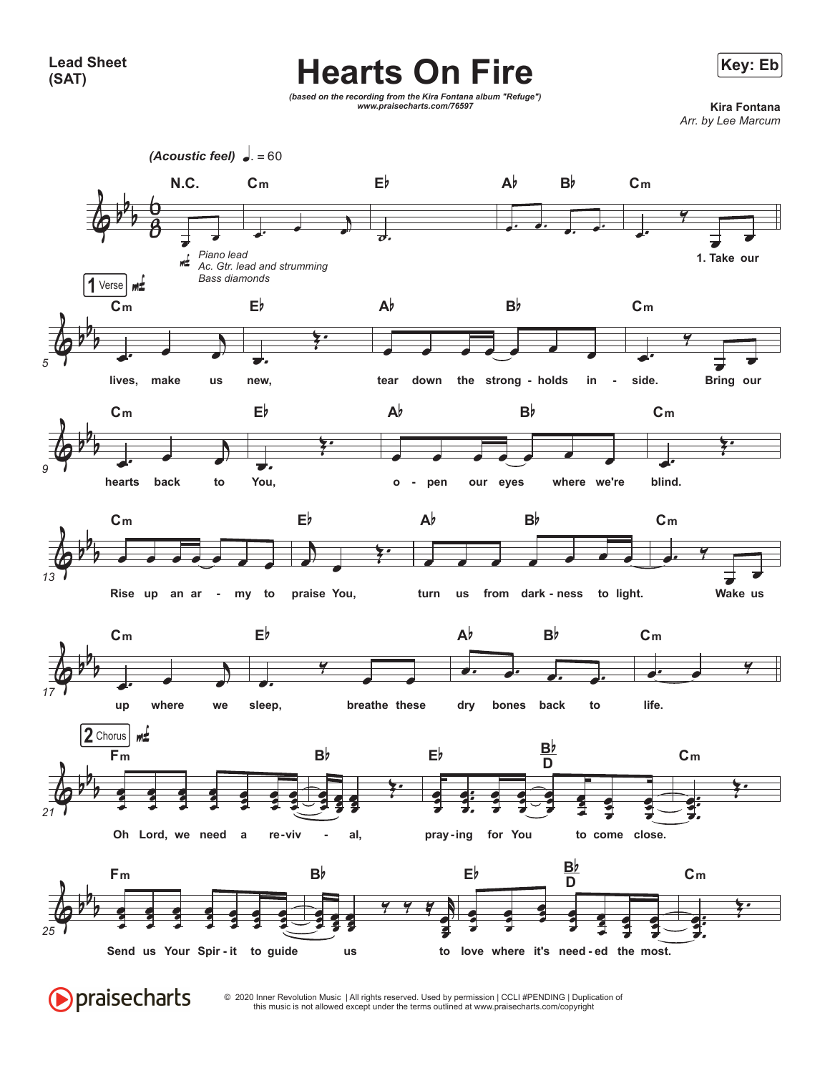## **Hearts On Fire** External Manufacturers In the Key: Eb



*(based on the recording from the Kira Fontana album "Refuge") www.praisecharts.com/76597* **Kira Fontana**

*Arr. by Lee Marcum*



**Opraisecharts** 

© 2020 Inner Revolution Music | All rights reserved. Used by permission | CCLI #PENDING | Duplication of this music is not allowed except under the terms outlined at www.praisecharts.com/copyright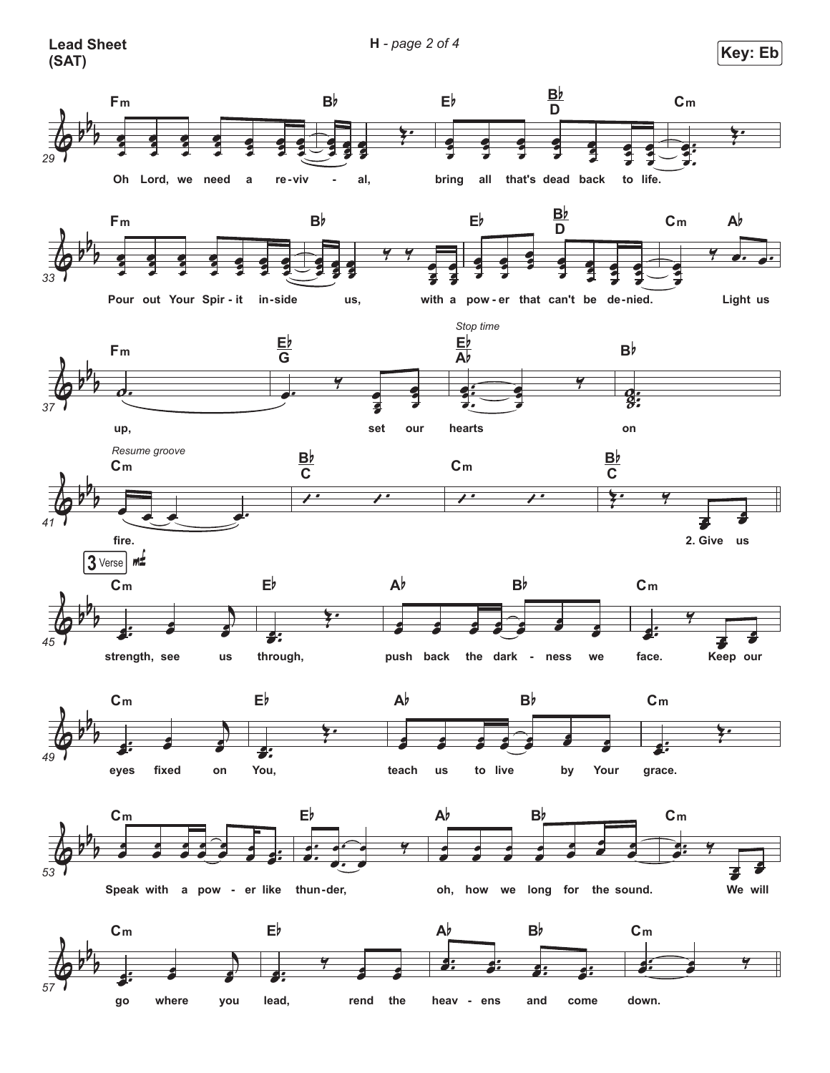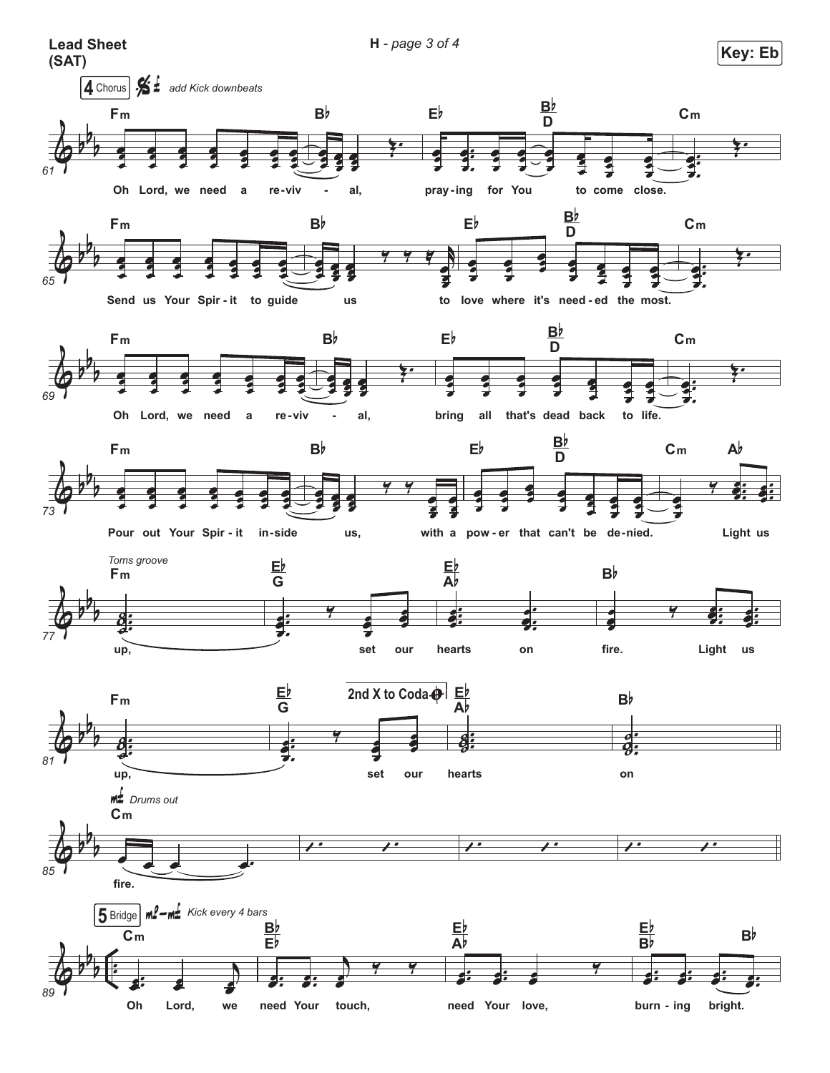